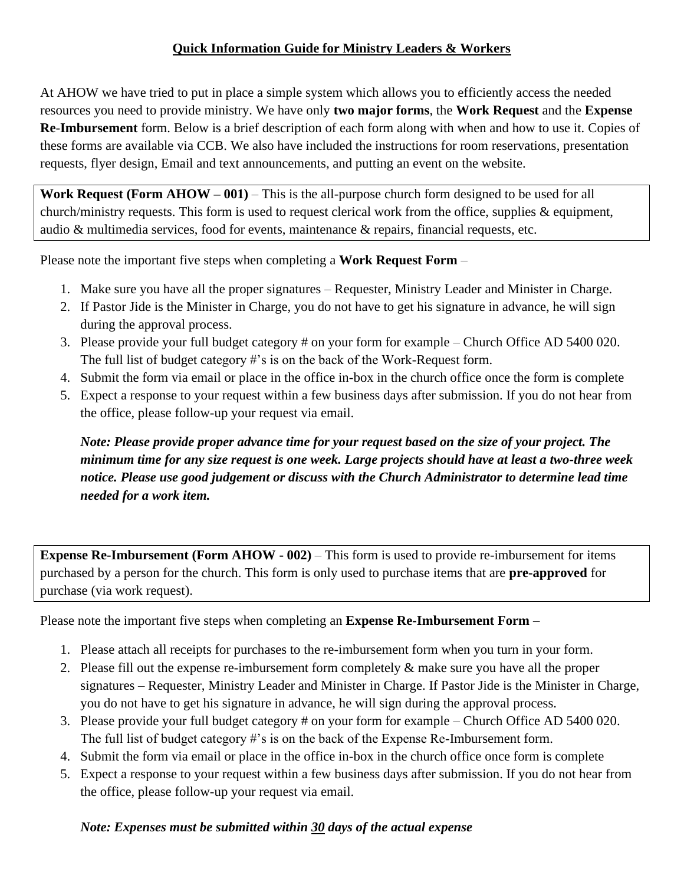## **Quick Information Guide for Ministry Leaders & Workers**

At AHOW we have tried to put in place a simple system which allows you to efficiently access the needed resources you need to provide ministry. We have only **two major forms**, the **Work Request** and the **Expense Re**-**Imbursement** form. Below is a brief description of each form along with when and how to use it. Copies of these forms are available via CCB. We also have included the instructions for room reservations, presentation requests, flyer design, Email and text announcements, and putting an event on the website.

**Work Request (Form AHOW – 001)** – This is the all-purpose church form designed to be used for all church/ministry requests. This form is used to request clerical work from the office, supplies & equipment, audio & multimedia services, food for events, maintenance & repairs, financial requests, etc.

Please note the important five steps when completing a **Work Request Form** –

- 1. Make sure you have all the proper signatures Requester, Ministry Leader and Minister in Charge.
- 2. If Pastor Jide is the Minister in Charge, you do not have to get his signature in advance, he will sign during the approval process.
- 3. Please provide your full budget category # on your form for example Church Office AD 5400 020. The full list of budget category #'s is on the back of the Work-Request form.
- 4. Submit the form via email or place in the office in-box in the church office once the form is complete
- 5. Expect a response to your request within a few business days after submission. If you do not hear from the office, please follow-up your request via email.

*Note: Please provide proper advance time for your request based on the size of your project. The minimum time for any size request is one week. Large projects should have at least a two-three week notice. Please use good judgement or discuss with the Church Administrator to determine lead time needed for a work item.*

**Expense Re-Imbursement (Form AHOW - 002)** – This form is used to provide re-imbursement for items purchased by a person for the church. This form is only used to purchase items that are **pre-approved** for purchase (via work request).

Please note the important five steps when completing an **Expense Re-Imbursement Form** –

- 1. Please attach all receipts for purchases to the re-imbursement form when you turn in your form.
- 2. Please fill out the expense re-imbursement form completely & make sure you have all the proper signatures – Requester, Ministry Leader and Minister in Charge. If Pastor Jide is the Minister in Charge, you do not have to get his signature in advance, he will sign during the approval process.
- 3. Please provide your full budget category # on your form for example Church Office AD 5400 020. The full list of budget category #'s is on the back of the Expense Re-Imbursement form.
- 4. Submit the form via email or place in the office in-box in the church office once form is complete
- 5. Expect a response to your request within a few business days after submission. If you do not hear from the office, please follow-up your request via email.

## *Note: Expenses must be submitted within 30 days of the actual expense*